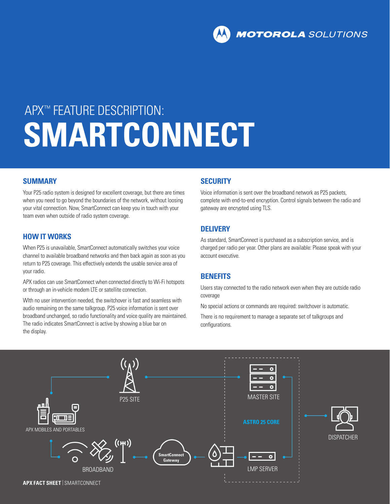**MOTOROLA** SOLUTIONS

# APX™ FEATURE DESCRIPTION: **SMARTCONNECT**

### **SUMMARY**

Your P25 radio system is designed for excellent coverage, but there are times when you need to go beyond the boundaries of the network, without loosing your vital connection. Now, SmartConnect can keep you in touch with your team even when outside of radio system coverage.

#### **HOW IT WORKS**

When P25 is unavailable, SmartConnect automatically switches your voice channel to available broadband networks and then back again as soon as you return to P25 coverage. This effectively extends the usable service area of your radio.

APX radios can use SmartConnect when connected directly to Wi-Fi hotspots or through an in-vehicle modem LTE or satellite connection.

WIth no user intervention needed, the switchover is fast and seamless with audio remaining on the same talkgroup. P25 voice information is sent over broadband unchanged, so radio functionality and voice quality are maintained. The radio indicates SmartConnect is active by showing a blue bar on the display.

# **SECURITY**

Voice information is sent over the broadband network as P25 packets, complete with end-to-end encryption. Control signals between the radio and gateway are encrypted using TLS.

#### **DELIVERY**

As standard, SmartConnect is purchased as a subscription service, and is charged per radio per year. Other plans are available: Please speak with your account executive.

#### **BENEFITS**

Users stay connected to the radio network even when they are outside radio coverage

No special actions or commands are required: switchover is automatic.

There is no requirement to manage a separate set of talkgroups and configurations.